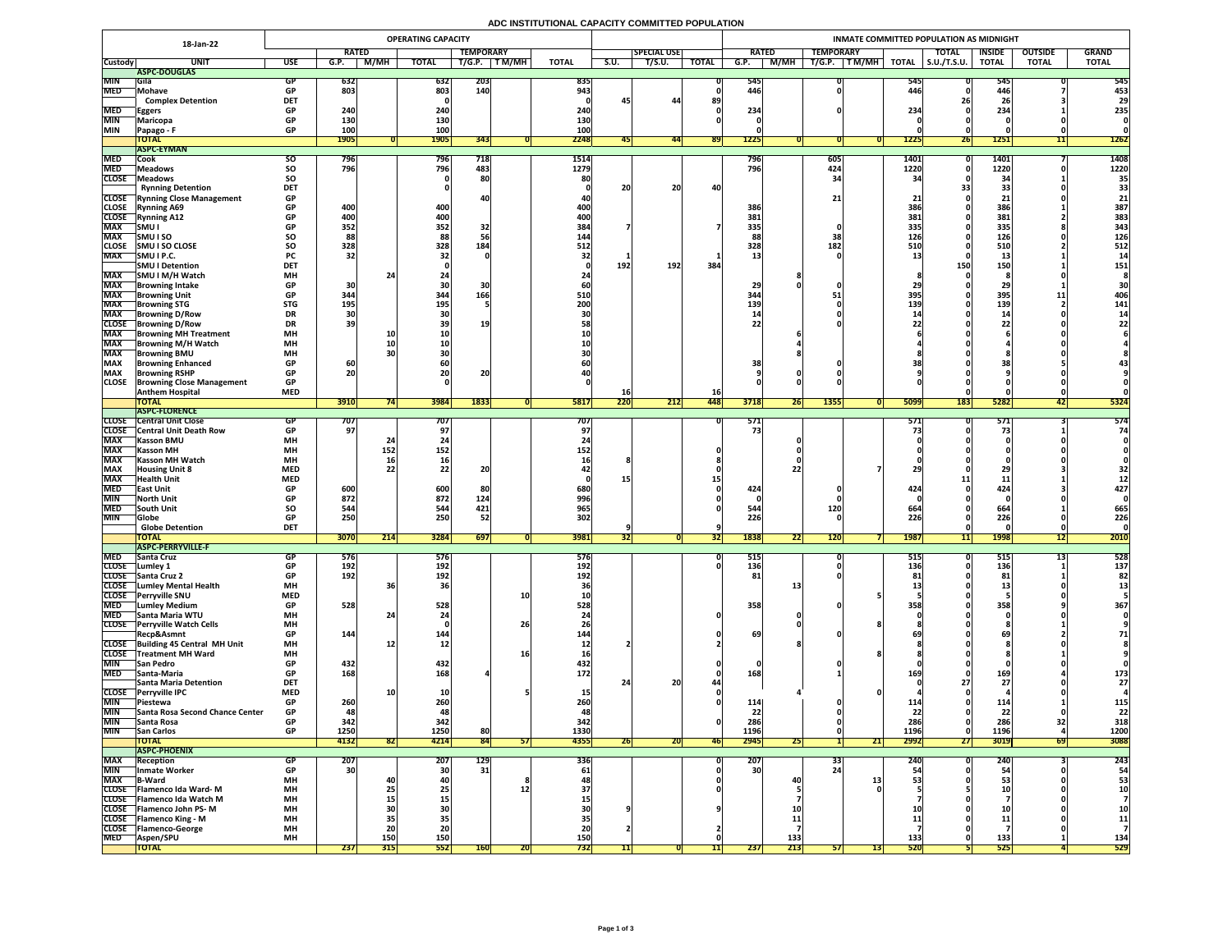# **ADC INSTITUTIONAL CAPACITY COMMITTED POPULATION**

| 18-Jan-22                |                                                           | <b>OPERATING CAPACITY</b> |                 |                                                               |                   |                  |            |                  |           |                    |              | INMATE COMMITTED POPULATION AS MIDNIGHT |            |                           |                     |                     |                   |                       |              |  |  |  |
|--------------------------|-----------------------------------------------------------|---------------------------|-----------------|---------------------------------------------------------------|-------------------|------------------|------------|------------------|-----------|--------------------|--------------|-----------------------------------------|------------|---------------------------|---------------------|---------------------|-------------------|-----------------------|--------------|--|--|--|
|                          |                                                           |                           | <b>RATED</b>    |                                                               |                   | <b>TEMPORARY</b> |            |                  |           | <b>SPECIAL USE</b> |              | <b>RATED</b>                            |            | <b>TEMPORARY</b>          |                     | <b>TOTAL</b>        | <b>INSIDE</b>     | <b>OUTSIDE</b>        | <b>GRAND</b> |  |  |  |
| <b>Custody</b>           | <b>UNIT</b>                                               | <b>USE</b>                | G.P.            | <b>M/MH</b>                                                   | <b>TOTAL</b>      | T/G.P.           | T M/MH     | <b>TOTAL</b>     | S.U.      | T/S.U.             | <b>TOTAL</b> | G.P.                                    | M/MH       | T/G.P.<br>$\sqrt{T}$ M/MH | <b>TOTAL</b>        | $\vert$ S.U./T.S.U. | <b>TOTAL</b>      | <b>TOTAL</b>          | <b>TOTAL</b> |  |  |  |
|                          | ASPC-DOUGLAS                                              |                           |                 |                                                               |                   |                  |            |                  |           |                    |              |                                         |            |                           |                     |                     |                   |                       |              |  |  |  |
| <b>MIN</b><br><b>MED</b> | <b>Sila</b><br>Mohave                                     | GP<br><b>GP</b>           | 632<br>803      |                                                               | 632<br>803        | 203<br>140       |            | 835<br>943       |           |                    |              | 545<br>446                              |            |                           | <b>545</b><br>446   |                     | 545<br>446        |                       | 545<br>453   |  |  |  |
|                          | <b>Complex Detention</b>                                  | <b>DET</b>                |                 |                                                               |                   |                  |            |                  | 45        | 44                 | 89           |                                         |            |                           |                     |                     | <b>ZO</b>         |                       | 29           |  |  |  |
| <b>MED</b>               | <b>Eggers</b>                                             | <b>GP</b>                 | 240             |                                                               | 240               |                  |            | 240              |           |                    |              | 234                                     |            |                           | 234                 |                     | 234               |                       | 235          |  |  |  |
| <b>MIN</b>               | <b>Maricopa</b>                                           | <b>GP</b>                 | 130             |                                                               | 130               |                  |            | 130              |           |                    |              |                                         |            |                           |                     |                     |                   |                       |              |  |  |  |
| <b>MIN</b>               | <b>Papago - F</b>                                         | <b>GP</b>                 | 100             |                                                               | 100               |                  |            | 100              |           |                    |              |                                         |            |                           |                     |                     |                   |                       |              |  |  |  |
|                          | <b>TOTAL</b>                                              |                           | <b>1905</b>     |                                                               | <b>1905</b>       | 343              |            | 2248             |           | 441                | <b>891</b>   | 1225                                    |            |                           | <b>1225</b>         | <b>ZD</b>           | <b>1251</b>       | 11                    | <b>1262</b>  |  |  |  |
|                          | <b>ASPC-EYMAN</b>                                         |                           |                 |                                                               |                   |                  |            |                  |           |                    |              |                                         |            |                           |                     |                     |                   |                       |              |  |  |  |
| <b>MED</b><br><b>MED</b> | Cook                                                      | <b>SO</b><br><b>SO</b>    | 796<br>796      |                                                               | <b>796</b><br>796 | 718<br>483       |            | 1514<br>1279     |           |                    |              | 796<br>796                              |            | 605<br>424                | <b>1401</b><br>1220 |                     | 1401 <br>1220     |                       | 1408<br>1220 |  |  |  |
| <b>CLOSE</b>             | <b>Meadows</b><br><b>Neadows</b>                          | <b>SO</b>                 |                 |                                                               |                   | 80               |            | 80               |           |                    |              |                                         |            |                           | 21                  |                     | $\mathbf{2}$      |                       | 35           |  |  |  |
|                          | <b>Rynning Detention</b>                                  | <b>DET</b>                |                 |                                                               |                   |                  |            |                  | 20        | 20                 | 40           |                                         |            |                           |                     |                     | 33                |                       |              |  |  |  |
|                          | <b>CLOSE</b> Rynning Close Management                     | <b>GP</b>                 |                 |                                                               |                   |                  |            |                  |           |                    |              |                                         |            |                           |                     |                     |                   |                       |              |  |  |  |
| <b>CLOSE</b>             | <b>Rynning A69</b>                                        | <b>GP</b>                 | 400             |                                                               | 400               |                  |            | <b>400</b>       |           |                    |              | 386                                     |            |                           | <b>386</b>          |                     | 386               |                       | 387          |  |  |  |
| <b>CLOSE</b>             | <b>Rynning A12</b>                                        | <b>GP</b>                 | 400             |                                                               | 400               |                  |            | 400              |           |                    |              | 381                                     |            |                           | 381                 |                     | 381               |                       | 383          |  |  |  |
| <b>MAX</b>               | SMU I                                                     | <b>GP</b>                 | 352             |                                                               | 352               | 32               |            | 384              |           |                    |              | 335                                     |            |                           | 335                 |                     | 335               |                       | 343          |  |  |  |
| <b>MAX</b>               | <b>SMUISO</b>                                             | SO                        | 88              |                                                               | 88                |                  |            | 144              |           |                    |              |                                         |            |                           | 126                 |                     | 126               |                       | 126          |  |  |  |
| <b>CLOSE</b>             | <b>SMU I SO CLOSE</b>                                     | <b>SO</b>                 | 328             |                                                               | 328               | 184              |            | <b>512</b>       |           |                    |              | 328                                     |            | 182                       | <b>510</b>          |                     | 510               |                       | 512          |  |  |  |
| <b>MAX</b>               | SMU I P.C.<br><b>SMU I Detention</b>                      | <b>PC</b><br><b>DET</b>   | 32              |                                                               |                   |                  |            |                  | 192       | 192                | 384          |                                         |            |                           |                     | 150                 | ᆂᇦ<br>150         |                       | 151          |  |  |  |
| <b>MAX</b>               | SMU I M/H Watch                                           | <b>MH</b>                 |                 | 24                                                            |                   |                  |            |                  |           |                    |              |                                         |            |                           |                     |                     |                   |                       |              |  |  |  |
| <b>MAX</b>               | Browning Intake                                           | <b>GP</b>                 | 30              |                                                               |                   |                  |            |                  |           |                    |              | 29                                      |            |                           |                     |                     | 2J                |                       |              |  |  |  |
| <b>MAX</b>               | <b>Browning Unit</b>                                      | <b>GP</b>                 | 344             |                                                               | 344               | 166              |            | 510              |           |                    |              | 344                                     |            |                           | 395                 |                     | 395               | -151-19               | 406          |  |  |  |
| <b>MAX</b>               | <b>Browning STG</b>                                       | <b>STG</b>                | <b>195</b>      |                                                               | 195               |                  |            | 200              |           |                    |              | 139                                     |            |                           | 139                 |                     | 139               |                       | 141          |  |  |  |
| <b>MAX</b>               | <b>Browning D/Row</b>                                     | <b>DR</b>                 | 30              |                                                               |                   |                  |            |                  |           |                    |              |                                         |            |                           |                     |                     |                   |                       |              |  |  |  |
| <b>CLOSE</b>             | <b>Browning D/Row</b>                                     | <b>DR</b>                 | 39              |                                                               |                   | 19               |            |                  |           |                    |              |                                         |            |                           |                     |                     |                   |                       |              |  |  |  |
| <b>MAX</b>               | <b>Browning MH Treatment</b>                              | <b>MH</b>                 |                 | <b>10</b>                                                     |                   |                  |            |                  |           |                    |              |                                         |            |                           |                     |                     |                   |                       |              |  |  |  |
| <b>MAX</b>               | <b>TBrowning M/H Watch</b>                                | <b>MH</b>                 |                 |                                                               |                   |                  |            |                  |           |                    |              |                                         |            |                           |                     |                     |                   |                       |              |  |  |  |
| <b>MAX</b><br><b>MAX</b> | <b>Browning BMU</b><br><b>Browning Enhanced</b>           | <b>MH</b><br><b>GP</b>    | 60 <sub>1</sub> |                                                               |                   |                  |            |                  |           |                    |              |                                         |            |                           |                     |                     |                   |                       |              |  |  |  |
| <b>MAX</b>               | <b>Browning RSHP</b>                                      | <b>GP</b>                 | 20              |                                                               | ZU                | nn.<br><b>ZU</b> |            |                  |           |                    |              |                                         |            |                           |                     |                     |                   |                       |              |  |  |  |
| <b>CLOSE</b>             | <b>Browning Close Management</b>                          | <b>GP</b>                 |                 |                                                               |                   |                  |            |                  |           |                    |              |                                         |            |                           |                     |                     |                   |                       |              |  |  |  |
|                          | <b>Anthem Hospital</b>                                    | <b>MED</b>                |                 |                                                               |                   |                  |            |                  | TQ        |                    | <b>16</b>    |                                         |            |                           |                     |                     |                   |                       |              |  |  |  |
|                          | <b>TOTAL</b>                                              |                           | 3910            |                                                               | 3984              | 1833             |            | 5817             | 220       | 212                | 448          | 3718                                    | <b>261</b> | <b>1355</b>               | <b>5099</b>         | <b>183</b>          | 5282              | 4Z                    | 5324         |  |  |  |
|                          | <b>ASPC-FLORENCE</b>                                      |                           |                 |                                                               |                   |                  |            |                  |           |                    |              |                                         |            |                           |                     |                     |                   |                       |              |  |  |  |
| <b>CLOSE</b>             | <b>Central Unit Close</b>                                 |                           | 707             |                                                               | 707               |                  |            | 707              |           |                    |              | 571                                     |            |                           | 571                 |                     | 571               |                       | 574          |  |  |  |
| <b>MAX</b>               | <b>CLOSE</b> Central Unit Death Row<br><b>Kasson BMU</b>  | <b>GP</b><br><b>MH</b>    | 97 <sub>1</sub> |                                                               |                   |                  |            |                  |           |                    |              |                                         |            |                           |                     |                     |                   |                       | 74           |  |  |  |
| <b>MAX</b>               | <b>Kasson MH</b>                                          | <b>MH</b>                 |                 | 152                                                           | 152               |                  |            | 152              |           |                    |              |                                         |            |                           |                     |                     |                   |                       |              |  |  |  |
| <b>MAX</b>               | <b>Kasson MH Watch</b>                                    | <b>MH</b>                 |                 | TP.                                                           |                   |                  |            |                  |           |                    |              |                                         |            |                           |                     |                     |                   |                       |              |  |  |  |
| <b>MAX</b>               | <b>Housing Unit 8</b>                                     | <b>MED</b>                |                 |                                                               |                   | $\bigcap$        |            |                  |           |                    |              |                                         |            |                           |                     |                     | <u>.</u>          |                       |              |  |  |  |
| <b>MAX</b>               | <b>Health Unit</b>                                        | <b>MED</b>                |                 |                                                               |                   |                  |            |                  |           |                    |              |                                         |            |                           |                     |                     |                   |                       |              |  |  |  |
| <b>MED</b>               | <b>TEast Unit</b>                                         | <b>GP</b>                 | 600             |                                                               | 600               | 80               |            | 680              |           |                    |              | 424                                     |            |                           | 424                 |                     | 424               |                       | 427          |  |  |  |
| <b>MIN</b>               | <b>North Unit</b>                                         | <b>GP</b>                 | 872             |                                                               | 872               | 124              |            | 996              |           |                    |              |                                         |            |                           |                     |                     |                   |                       |              |  |  |  |
| <b>MED</b>               | <b>South Unit</b>                                         | <b>SO</b>                 | 544             |                                                               | 544               | 421              |            | 965              |           |                    |              | 544                                     |            | <b>120</b>                | 664                 |                     | 664               |                       | 665          |  |  |  |
| <b>MIN</b>               | <b>Globe</b><br><b>Globe Detention</b>                    | <b>GP</b><br><b>DET</b>   | 250             |                                                               | 250               | 52               |            | 302              |           |                    |              | 226                                     |            |                           | 226                 |                     | 226               |                       | 226          |  |  |  |
|                          | <b>TOTAL</b>                                              |                           | <b>3070</b>     | $\begin{array}{c} \n \boldsymbol{341} \n \end{array}$<br> Z14 | 3284              | 697              |            | 3981             | 32        |                    | <b>34</b>    | 1838                                    | 22         | 120                       | <b>1987</b>         | 11                  | <b>1998</b>       | $\blacksquare$<br> 12 | 2010         |  |  |  |
|                          | <b>ASPC-PERRYVILLE-F</b>                                  |                           |                 |                                                               |                   |                  |            |                  |           |                    |              |                                         |            |                           |                     |                     |                   |                       |              |  |  |  |
| <b>MED</b>               | <b>Santa Cruz</b>                                         | <b>GP</b>                 | 576             |                                                               | 576               |                  |            | <b>576</b>       |           |                    |              | 515                                     |            |                           | <b>5151</b>         |                     | 515               |                       | 528          |  |  |  |
| <b>CLOSE</b>             | Lumley 1                                                  | <b>GP</b>                 | 192             |                                                               | 192               |                  |            | 192              |           |                    |              | 136                                     |            |                           | 136                 |                     | 136               |                       | 137          |  |  |  |
|                          | CLOSE Santa Cruz 2                                        | <b>GP</b>                 | 192             |                                                               | 192               |                  |            | 192              |           |                    |              |                                         |            |                           |                     |                     | 81                |                       |              |  |  |  |
|                          | <b>CLOSE</b> Lumley Mental Health<br>CLOSE Perryville SNU | <b>MH</b><br><b>MED</b>   |                 |                                                               |                   |                  | <b>10</b>  |                  |           |                    |              |                                         |            |                           |                     |                     |                   |                       |              |  |  |  |
| <b>MED</b>               | <b>Lumley Medium</b>                                      | <b>GP</b>                 | 528             |                                                               | 528               |                  |            | 528              |           |                    |              | 358                                     |            |                           | 358                 |                     | 358               |                       | 367          |  |  |  |
| <b>MED</b>               | Santa Maria WTU                                           | <b>MH</b>                 |                 |                                                               |                   |                  |            |                  |           |                    |              |                                         |            |                           |                     |                     |                   |                       |              |  |  |  |
| <b>CLOSE</b>             | <b>Perryville Watch Cells</b>                             | <b>MH</b>                 |                 |                                                               |                   |                  | 26         |                  |           |                    |              |                                         |            |                           |                     |                     |                   |                       |              |  |  |  |
|                          | Recp&Asmnt                                                | <b>GP</b>                 | 144             |                                                               | 144               |                  |            | 144              |           |                    |              | 69                                      |            |                           |                     |                     | 69                |                       | 71           |  |  |  |
|                          | CLOSE Building 45 Central MH Unit                         | <b>MH</b>                 |                 |                                                               | TV.               |                  |            |                  |           |                    |              |                                         |            |                           |                     |                     |                   |                       |              |  |  |  |
|                          | <b>CLOSE</b> Treatment MH Ward                            | <b>MH</b>                 |                 |                                                               |                   |                  |            |                  |           |                    |              |                                         |            |                           |                     |                     |                   |                       |              |  |  |  |
| <b>MIN</b>               | <b>San Pedro</b>                                          | <b>GP</b>                 | 432             |                                                               | 432               |                  |            | 432              |           |                    |              |                                         |            |                           |                     |                     |                   |                       |              |  |  |  |
| <b>MED</b>               | <b>Santa-Maria</b><br><b>Santa Maria Detention</b>        | <b>GP</b><br><b>DET</b>   | 168             |                                                               | 168               |                  |            | 172 <sub>1</sub> |           | 20 <sub>1</sub>    |              | 168                                     |            |                           | TO?                 |                     | 169'              |                       | 173<br>27    |  |  |  |
|                          | CLOSE Perryville IPC                                      | <b>MED</b>                |                 |                                                               |                   |                  |            |                  |           |                    |              |                                         |            |                           |                     |                     |                   |                       |              |  |  |  |
| <b>MIN</b>               | <b>Piestewa</b>                                           | <b>GP</b>                 | 260             |                                                               | 260               |                  |            |                  |           |                    |              | 114                                     |            |                           | __                  |                     | 114               |                       | <b>115</b>   |  |  |  |
| <b>MIN</b>               | <b>Santa Rosa Second Chance Center</b>                    | <b>GP</b>                 | 48              |                                                               | 48                |                  |            | 48               |           |                    |              | 22                                      |            |                           | つつ                  |                     | 22                |                       | 22           |  |  |  |
| <b>MIN</b>               | Santa Rosa                                                | <b>GP</b>                 | 342             |                                                               | 342               |                  |            | 342              |           |                    |              | 286                                     |            |                           | 286                 |                     | 286               |                       | 318          |  |  |  |
| <b>MIN</b>               | <b>San Carlos</b>                                         | <b>GP</b>                 | 1250            |                                                               | 1250              | 80               |            | 1330             |           |                    |              | 1196                                    |            |                           | <b>1196</b>         |                     | 1196              |                       | <b>1200</b>  |  |  |  |
|                          | <b>TOTAL</b>                                              |                           | 4132            | 82                                                            | 4214              | 84               | 51         | 4355             | <b>26</b> | 20                 | <b>461</b>   | 2945                                    | <b>ZJ</b>  | 21                        | 2992                | <b>271</b>          | 3019              | 69                    | 3088         |  |  |  |
| <b>MAX</b>               | <b>ASPC-PHOENIX</b>                                       |                           |                 |                                                               | 207               |                  |            |                  |           |                    |              | <b>207</b>                              |            |                           | 240                 |                     |                   |                       | 243          |  |  |  |
| <b>MIN</b>               | <b>Reception</b><br>Inmate Worker                         | GP<br><b>GP</b>           | 207<br>30       |                                                               | 30 <sup>°</sup>   | 129<br>31        |            | 336<br>61        |           |                    |              | 30 <sup>1</sup>                         |            | 55.                       |                     |                     | <b>240</b>        |                       | 54           |  |  |  |
| <b>MAX</b>               | <b>B-Ward</b>                                             | <b>MH</b>                 |                 |                                                               |                   |                  |            |                  |           |                    |              |                                         |            |                           |                     |                     |                   |                       | 53           |  |  |  |
|                          | CLOSE   Flamenco Ida Ward-M                               | <b>MH</b>                 |                 |                                                               |                   |                  |            |                  |           |                    |              |                                         |            |                           |                     |                     |                   |                       | 10           |  |  |  |
|                          | CLOSE   Flamenco Ida Watch M                              | <b>MH</b>                 |                 |                                                               |                   |                  |            |                  |           |                    |              |                                         |            |                           |                     |                     |                   |                       |              |  |  |  |
|                          | <b>CLOSE</b> Flamenco John PS-M                           | <b>MH</b>                 |                 |                                                               |                   |                  |            |                  |           |                    |              |                                         |            |                           |                     |                     |                   |                       | <b>10</b>    |  |  |  |
|                          | <b>CLOSE</b> Flamenco King - M                            | <b>MH</b>                 |                 |                                                               |                   |                  |            |                  |           |                    |              |                                         |            |                           |                     |                     |                   |                       | 11           |  |  |  |
|                          | CLOSE   Flamenco-George                                   | <b>MH</b>                 |                 | ΖU                                                            | ZU                |                  |            |                  |           |                    |              |                                         |            |                           |                     |                     |                   |                       |              |  |  |  |
| <b>MED</b>               | <b>Aspen/SPU</b><br><b>TOTAL</b>                          | <b>MH</b>                 | 237             | <b>150</b><br>315                                             | 150<br>552        | <b>160</b>       | <b>ZUI</b> | 150<br>732       |           |                    |              | 237                                     | 133<br>213 | 13 <br><b>57</b>          | 133<br><b>520</b>   |                     | 133<br><b>525</b> |                       | 134<br>529   |  |  |  |
|                          |                                                           |                           |                 |                                                               |                   |                  |            |                  |           |                    |              |                                         |            |                           |                     |                     |                   |                       |              |  |  |  |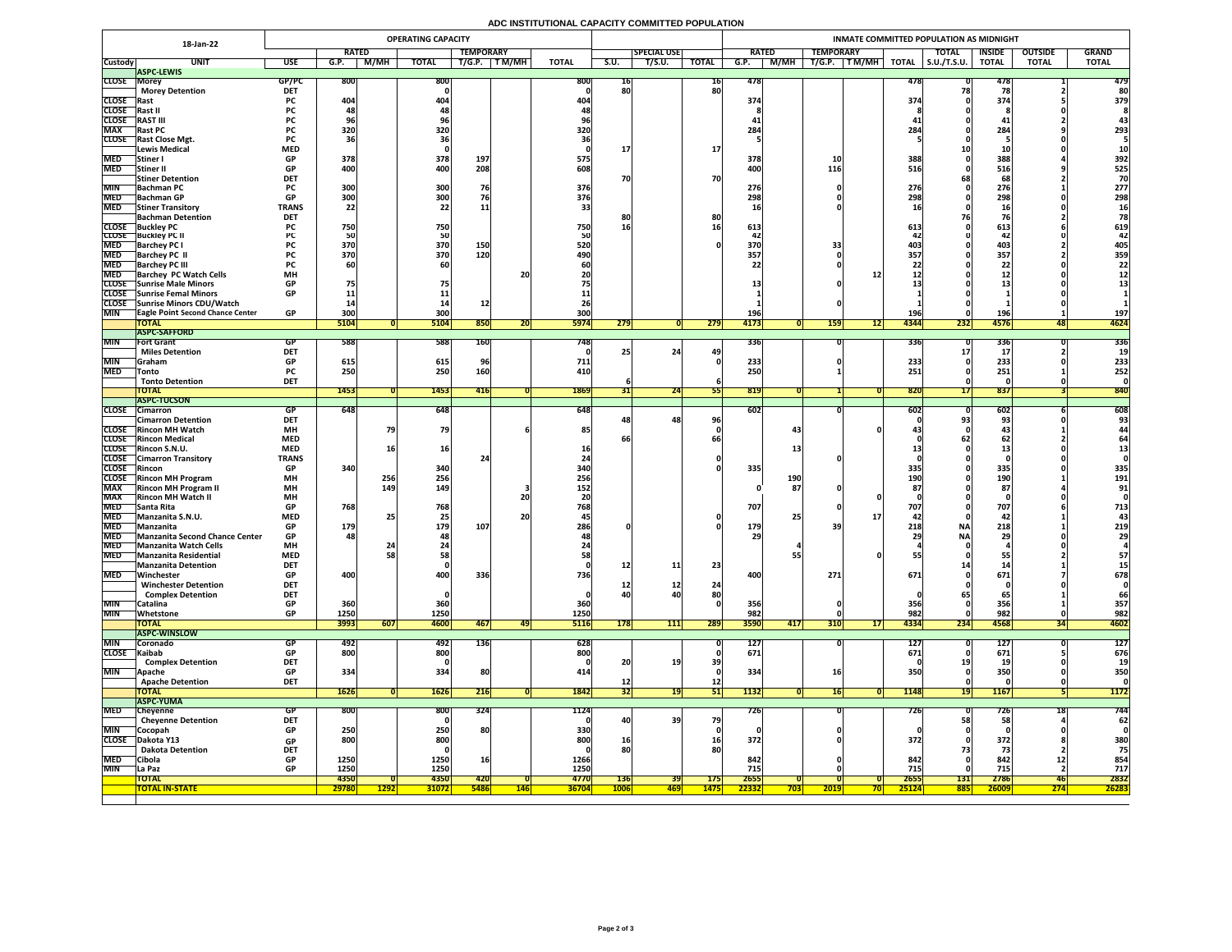# **ADC INSTITUTIONAL CAPACITY COMMITTED POPULATION**

|                                   | 18-Jan-22                                                |                         |                          |             | <b>OPERATING CAPACITY</b> |                  |              |                     |                 |                    |              | INMATE COMMITTED POPULATION AS MIDNIGHT |                  |                                |                     |                    |                |              |  |  |  |  |
|-----------------------------------|----------------------------------------------------------|-------------------------|--------------------------|-------------|---------------------------|------------------|--------------|---------------------|-----------------|--------------------|--------------|-----------------------------------------|------------------|--------------------------------|---------------------|--------------------|----------------|--------------|--|--|--|--|
|                                   |                                                          |                         | <b>RATED</b>             |             |                           | <b>TEMPORARY</b> |              |                     |                 | <b>SPECIAL USE</b> |              | <b>RATED</b>                            | <b>TEMPORARY</b> |                                | <b>TOTAL</b>        | <b>INSIDE</b>      | <b>OUTSIDE</b> | <b>GRAND</b> |  |  |  |  |
| <b>Custody</b>                    | <b>UNIT</b><br><b>ASPC-LEWIS</b>                         | <b>USE</b>              | G.P.                     | M/MH        | <b>TOTAL</b>              | T/G.P.           | T M/MH       | <b>TOTAL</b>        | S.U.            | T/S.U.             | <b>TOTAL</b> | M/MH<br>G.P.                            | T M/MH<br>T/G.P. | <b>TOTAL</b>                   | $\vert$ S.U./T.S.U. | <b>TOTAL</b>       | <b>TOTAL</b>   | <b>TOTAL</b> |  |  |  |  |
| <b>CLOSE Morey</b>                |                                                          | GP/PC                   | 800                      |             | 800                       |                  |              | 800                 | 10 <sub>1</sub> |                    | <b>16</b>    | 478                                     |                  | 478                            |                     | 478                |                | 479          |  |  |  |  |
|                                   | <b>Morey Detention</b>                                   | <b>DET</b>              |                          |             |                           |                  |              |                     | 80              |                    | 80           |                                         |                  |                                |                     |                    |                | 80           |  |  |  |  |
| <b>CLOSE</b> Rast<br><b>CLOSE</b> |                                                          | <b>PC</b><br><b>PC</b>  | 404                      |             | 404                       |                  |              | 40                  |                 |                    |              | 374                                     |                  | 374                            |                     | 374                |                | 379          |  |  |  |  |
| <b>CLOSE</b>                      | <b> Rast I</b><br><b>RAST III</b>                        |                         |                          |             |                           |                  |              |                     |                 |                    |              |                                         |                  |                                |                     |                    |                |              |  |  |  |  |
| <b>MAX</b>                        | <b>Rast PC</b>                                           | <b>PC</b>               | 320                      |             | 320                       |                  |              | 320                 |                 |                    |              | 284                                     |                  | 284                            |                     | 284                |                | 293          |  |  |  |  |
|                                   | CLOSE Rast Close Mgt.                                    | <b>PC</b>               |                          |             |                           |                  |              |                     |                 |                    |              |                                         |                  |                                |                     |                    |                |              |  |  |  |  |
|                                   | <b>Lewis Medical</b>                                     | <b>MED</b>              |                          |             |                           |                  |              |                     |                 |                    | 17           |                                         |                  |                                |                     |                    |                |              |  |  |  |  |
| <b>MED</b><br><b>MED</b>          | Stiner<br> Stiner II                                     | <b>GP</b><br><b>GP</b>  | 378<br>400               |             | 378<br>400                | 197<br>208       |              | 575<br>608          |                 |                    |              | 378<br>400                              | 116              | 388<br>516                     |                     | 388<br>516         |                | 392<br>525   |  |  |  |  |
|                                   | <b>Stiner Detention</b>                                  | <b>DET</b>              |                          |             |                           |                  |              |                     | 70              |                    | 70           |                                         |                  |                                |                     | 68                 |                | 70           |  |  |  |  |
| <b>MIN</b>                        | <b>Bachman PC</b>                                        |                         | 300                      |             | 300                       | 76               |              | 376                 |                 |                    |              | 276                                     |                  | 276                            |                     | 276                |                | 277          |  |  |  |  |
|                                   | MED Bachman GP                                           | <b>GP</b>               | 200 <sub>l</sub><br>⊃∪∪∣ |             | 200 <sub>l</sub><br>JUU   |                  |              | 376                 |                 |                    |              | 70Q<br>LJO                              |                  | 200 <sup>1</sup><br>LJO        |                     | 700<br><b>ZJO</b>  |                | 298          |  |  |  |  |
| <b>MED</b>                        | <b>Stiner Transitory</b>                                 | <b>TRANS</b>            | 22                       |             | 22                        | <b>11</b>        |              |                     |                 |                    |              |                                         |                  |                                |                     |                    |                |              |  |  |  |  |
|                                   | <b>Bachman Detention</b><br><b>CLOSE</b> Buckley PC      | <b>DET</b><br><b>PC</b> | 750                      |             | 750                       |                  |              | 750                 | 16              |                    | 80           | 613                                     |                  | 613                            |                     | 613                |                | 619          |  |  |  |  |
|                                   | <b>CLOSE</b> Buckley PC II                               |                         |                          |             | 50                        |                  |              |                     |                 |                    |              |                                         |                  |                                |                     |                    |                | 42           |  |  |  |  |
| <b>MED</b>                        | <b>Barchey PC I</b>                                      |                         | 370                      |             | 370                       | 150              |              | 520                 |                 |                    |              | 370                                     |                  | 4031                           |                     | 403                |                | 405          |  |  |  |  |
| <b>MED</b>                        | <b>Barchey PC II</b>                                     |                         | 370                      |             | 370                       | 120              |              | 490                 |                 |                    |              | 357                                     |                  | 357                            |                     | 357                |                | 359          |  |  |  |  |
| <b>MED</b><br><b>MED</b>          | <b>Barchey PC III</b><br><b>Barchey PC Watch Cells</b>   | <b>PC</b><br><b>MH</b>  |                          |             | 60                        |                  | 20           |                     |                 |                    |              |                                         |                  |                                |                     | LL                 |                |              |  |  |  |  |
|                                   | <b>CLOSE</b> Sunrise Male Minors                         | <b>GP</b>               |                          |             |                           |                  |              |                     |                 |                    |              |                                         |                  |                                |                     | & &                |                |              |  |  |  |  |
|                                   | CLOSE Sunrise Femal Minors                               | <b>GP</b>               |                          |             |                           |                  |              |                     |                 |                    |              |                                         |                  |                                |                     |                    |                |              |  |  |  |  |
|                                   | CLOSE Sunrise Minors CDU/Watch                           |                         |                          |             |                           |                  |              |                     |                 |                    |              |                                         |                  |                                |                     |                    |                |              |  |  |  |  |
| <b>MIN</b>                        | <b>TEagle Point Second Chance Center</b><br><b>TOTAL</b> | <b>GP</b>               | 300<br>5104              |             | 300<br>5104               | 850              |              | 300<br><b>5974</b>  | 279             |                    | 279          | 196'<br>4173                            | <b>159</b>       | 196<br>4344<br>12              | 232                 | <b>196</b><br>4576 |                | 197<br>4624  |  |  |  |  |
|                                   | <b>ASPC-SAFFORD</b>                                      |                         |                          |             |                           |                  | ZU           |                     |                 |                    |              |                                         |                  |                                |                     |                    |                |              |  |  |  |  |
| <b>MIN</b>                        | <b>Fort Grant</b>                                        | GP                      | 588                      |             | 588                       | <b>160</b>       |              | 748I                |                 |                    |              | 336                                     |                  | <b>336</b>                     |                     | 336                |                | 336          |  |  |  |  |
|                                   | <b>Miles Detention</b>                                   | <b>DET</b>              |                          |             |                           |                  |              |                     |                 | 24                 |              |                                         |                  |                                |                     |                    |                |              |  |  |  |  |
| MIN<br><b>MED</b>                 | <b>Sraham</b>                                            | <b>GP</b><br><b>PC</b>  | 615<br>250               |             | 615<br>250                | 160              |              | 711<br>410          |                 |                    |              | 233<br>250                              |                  | 233<br>251                     |                     | 233<br>251         |                | 233<br>252   |  |  |  |  |
|                                   | $\sqrt{\ }$ Tonto<br><b>Tonto Detention</b>              | <b>DET</b>              |                          |             |                           |                  |              |                     |                 |                    |              |                                         |                  |                                |                     |                    |                |              |  |  |  |  |
|                                   | <b>TOTAL</b>                                             |                         | 1453                     |             | 1453                      | 416              |              | 1869                |                 | 24                 |              | 819                                     |                  | 820                            |                     | 837                |                | 840          |  |  |  |  |
|                                   | <b>ASPC-TUCSON</b>                                       |                         |                          |             |                           |                  |              |                     |                 |                    |              |                                         |                  |                                |                     |                    |                |              |  |  |  |  |
|                                   | CLOSE Cimarron<br><b>Cimarron Detention</b>              | GP<br><b>DET</b>        | 648                      |             | 648                       |                  |              | 648                 |                 | 48                 | 96           | 602                                     |                  | 6021                           |                     | $-602$<br>93       |                | 608<br>93    |  |  |  |  |
|                                   | <b>CLOSE</b> Rincon MH Watch                             | <b>MH</b>               |                          |             | 79                        |                  |              | <b>85</b>           |                 |                    |              |                                         | 43               |                                |                     |                    |                |              |  |  |  |  |
|                                   | <b>CLOSE</b> Rincon Medical                              | <b>MED</b>              |                          |             |                           |                  |              |                     |                 |                    |              |                                         |                  |                                |                     |                    |                |              |  |  |  |  |
|                                   | <b>CLOSE</b> Rincon S.N.U.                               | <b>MED</b>              |                          |             | 16                        |                  |              |                     |                 |                    |              |                                         |                  |                                |                     |                    |                |              |  |  |  |  |
|                                   | <b>CLOSE</b> Cimarron Transitory                         | <b>TRANS</b>            |                          |             |                           |                  |              |                     |                 |                    |              |                                         |                  |                                |                     |                    |                |              |  |  |  |  |
| <b>CLOSE</b> Rincon               | <b>CLOSE</b> Rincon MH Program                           | <b>GP</b><br><b>MH</b>  | 340                      | 256         | 340<br>256                |                  |              | 340<br>256          |                 |                    |              | 335<br><b>190</b>                       |                  | 335<br>100                     |                     | 335<br>190         |                | 335<br>191   |  |  |  |  |
| <b>MAX</b>                        | <b>Rincon MH Program II</b>                              | <b>MH</b>               |                          | 149         | <b>149</b>                |                  |              | 152                 |                 |                    |              |                                         | 87               | エフリ                            |                     | 87                 |                | 91           |  |  |  |  |
| <b>MAX</b>                        | <b>Rincon MH Watch II</b>                                | <b>MH</b>               |                          |             |                           |                  | <b>20</b>    |                     |                 |                    |              |                                         |                  |                                |                     |                    |                |              |  |  |  |  |
| <b>MED</b>                        | <b>Santa Rita</b>                                        | <b>GP</b>               | 768                      |             | 768                       |                  |              | 768                 |                 |                    |              | 707                                     |                  | 707                            |                     | 707                |                | 713          |  |  |  |  |
| <b>MED</b><br><b>MED</b>          | Manzanita S.N.U.<br>Manzanita                            | <b>MED</b><br><b>GP</b> | 179                      |             | 25<br>179                 | 107              | <b>20</b>    | 286                 |                 |                    |              | <b>179</b>                              |                  | 218                            | <b>NA</b>           | - 42.<br>218       |                | 219          |  |  |  |  |
| <b>MED</b>                        | <b>Manzanita Second Chance Center</b>                    | <b>GP</b>               | 48                       |             | 48                        |                  |              |                     |                 |                    |              | 29                                      |                  |                                | <b>NAI</b>          | 29                 |                | 29           |  |  |  |  |
| <b>MED</b>                        | <b>Manzanita Watch Cells</b>                             | <b>MH</b>               |                          |             |                           |                  |              |                     |                 |                    |              |                                         |                  |                                |                     |                    |                |              |  |  |  |  |
| <b>MED</b>                        | Manzanita Residential                                    | <b>MED</b>              |                          |             | 58                        |                  |              |                     |                 |                    |              |                                         |                  |                                |                     |                    |                | 57           |  |  |  |  |
| <b>MED</b>                        | <b>Manzanita Detention</b><br>Winchester                 | <b>DET</b><br><b>GP</b> | 400                      |             | 400                       | 336              |              | <b>736</b>          | 12              | 11                 | 23           | 400                                     | 271              | 671                            |                     | 671                |                | 678          |  |  |  |  |
|                                   | <b>Winchester Detention</b>                              | <b>DET</b>              |                          |             |                           |                  |              |                     | ┹               | TT <sub>T</sub>    | 24           |                                         |                  |                                |                     |                    |                |              |  |  |  |  |
|                                   | <b>Complex Detention</b>                                 | <b>DET</b>              |                          |             |                           |                  |              |                     | 40              | 40                 | 80           |                                         |                  |                                |                     |                    |                | 66           |  |  |  |  |
| MIN                               | <b>Catalina</b>                                          | <b>GP</b>               | 360                      |             | 360                       |                  |              | 360                 |                 |                    |              | 356                                     |                  | 356                            |                     | 356                |                | 357          |  |  |  |  |
| <b>MIN</b>                        | <b>Whetstone</b><br><b>TOTAL</b>                         | <b>GP</b>               | 1250<br>3993             | 607         | 1250<br>4600              | 467              |              | 1250<br><b>5116</b> | 178             | 111                | 289          | 982<br>3590<br>417                      | <b>310</b>       | 982<br>4334<br>17 <sup>1</sup> | 234                 | 982<br>4568        |                | 982<br>4602  |  |  |  |  |
|                                   | <b>ASPC-WINSLOW</b>                                      |                         |                          |             |                           |                  | 47           |                     |                 |                    |              |                                         |                  |                                |                     |                    |                |              |  |  |  |  |
| <b>MIN</b>                        | <b>Coronado</b>                                          | GP                      | 492                      |             | 492                       | <b>136</b>       |              | 628                 |                 |                    |              | 127                                     |                  | 127                            |                     | <b>127</b>         |                | <b>127</b>   |  |  |  |  |
| CLOSE Kaibab                      |                                                          | <b>GP</b>               | 800                      |             | 800                       |                  |              | 800                 |                 |                    |              | 671                                     |                  | 671                            |                     | 671                |                | 676          |  |  |  |  |
| <b>MIN</b>                        | <b>Complex Detention</b>                                 | <b>DET</b><br><b>GP</b> | 334                      |             | 334                       | 80               |              | 414                 | 20              | 19                 | 39           | 334                                     |                  |                                |                     | <b>350</b>         |                | 19<br>350    |  |  |  |  |
|                                   | <b>Apache</b><br><b>Apache Detention</b>                 | <b>DET</b>              |                          |             |                           |                  |              |                     |                 |                    | <b>12</b>    |                                         |                  |                                |                     |                    |                |              |  |  |  |  |
|                                   | <b>TOTAL</b>                                             |                         | 1626                     |             | <b>1626</b>               | 216              |              | 1842                | <b>34</b>       |                    | <b>PTL</b>   | 1132                                    | Lbl              | 1148                           |                     | <b>1167</b>        |                | <b>1172</b>  |  |  |  |  |
|                                   | <b>ASPC-YUMA</b>                                         |                         |                          |             |                           |                  |              |                     |                 |                    |              |                                         |                  |                                |                     |                    |                |              |  |  |  |  |
| <b>MED</b>                        | Cheyenne                                                 | <b>GP</b>               | 800                      |             | 800                       | 324              |              | 1124                |                 |                    |              | 726                                     |                  | 726                            |                     | 726                |                | 744          |  |  |  |  |
| <b>MIN</b>                        | <b>Cheyenne Detention</b><br>Cocopah                     | <b>DET</b><br><b>GP</b> | 250                      |             | 250                       | 80               |              | 330                 | 40              | 39                 | 79           |                                         |                  |                                | 58                  |                    |                | 62           |  |  |  |  |
| <b>CLOSE</b>                      | Dakota Y13                                               | <b>GP</b>               | 800                      |             | 800                       |                  |              | 800                 | <b>16</b>       |                    | <b>16</b>    | 372                                     |                  | 372                            |                     | 372                |                | 380          |  |  |  |  |
|                                   | <b>Dakota Detention</b>                                  | <b>DET</b>              |                          |             |                           |                  |              |                     |                 |                    | 80           |                                         |                  |                                |                     |                    |                | 75           |  |  |  |  |
| <b>MED</b>                        | Cibola                                                   | <b>GP</b>               | 1250                     |             | 1250                      | <b>16</b>        |              | 1266                |                 |                    |              | 842                                     |                  | 842                            |                     | 842                | -1.5<br>TT     | 854          |  |  |  |  |
| <b>MIN</b>                        | La Paz<br><b>TOTAL</b>                                   | <b>GP</b>               | 1250<br><b>4350</b>      |             | 1250<br>4350              | <b>420</b>       |              | 1250<br>4770        | <b>136</b>      | 391                | <b>175</b>   | 715<br>2655                             |                  | 715<br>2655                    | <b>131</b>          | 715<br>2786        | 46             | 717<br>2832  |  |  |  |  |
|                                   | <b>TOTAL IN-STATE</b>                                    |                         | 29780                    | <b>1292</b> | <b>31072</b>              | <b>5486</b>      | <u>  146</u> | <b>36704</b>        | <b>1006</b>     | <mark>469 </mark>  | <b>1475</b>  | 22332<br><b>703</b>                     | 2019             | 25124                          | <b>885</b>          | 26009              | <b>274</b>     | 26283        |  |  |  |  |
|                                   |                                                          |                         |                          |             |                           |                  |              |                     |                 |                    |              |                                         |                  |                                |                     |                    |                |              |  |  |  |  |